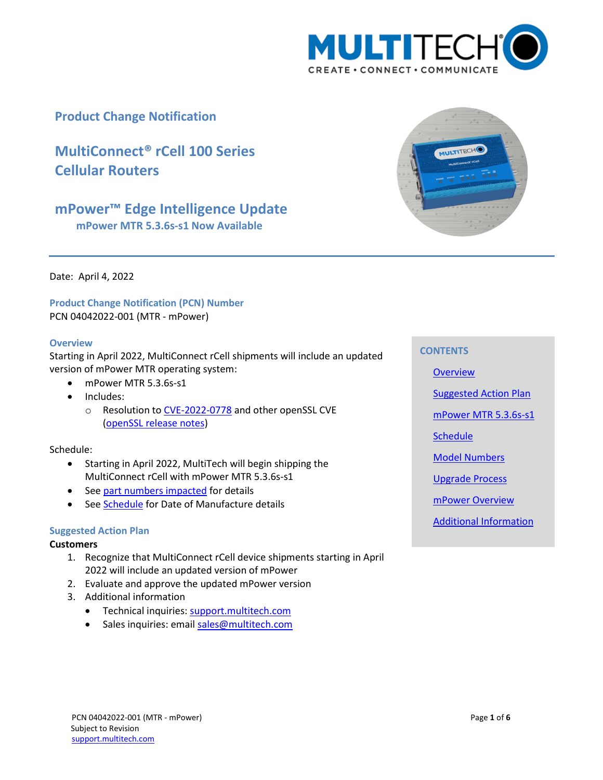

## **Product Change Notification**

# **MultiConnect® rCell 100 Series Cellular Routers**

# **mPower™ Edge Intelligence Update**

**mPower MTR 5.3.6s-s1 Now Available**



Date: April 4, 2022

**Product Change Notification (PCN) Number**  PCN 04042022-001 (MTR - mPower)

### <span id="page-0-0"></span>**Overview**

Starting in April 2022, MultiConnect rCell shipments will include an updated version of mPower MTR operating system:

- mPower MTR 5.3.6s-s1
- Includes:
	- o Resolution t[o CVE-2022-0778](https://nvd.nist.gov/vuln/detail/CVE-2022-0778) and other openSSL CVE (openSSL [release notes\)](https://www.openssl.org/news/openssl-1.1.1-notes.html)

### Schedule:

- Starting in April 2022, MultiTech will begin shipping the MultiConnect rCell with mPower MTR 5.3.6s-s1
- See part numbers [impacted](#page-2-0) for details
- See [Schedule](#page-1-0) for Date of Manufacture details

### <span id="page-0-1"></span>**Suggested Action Plan**

### **Customers**

- 1. Recognize that MultiConnect rCell device shipments starting in April 2022 will include an updated version of mPower
- 2. Evaluate and approve the updated mPower version
- 3. Additional information
	- Technical inquiries: support.multitech.com
	- Sales inquiries: emai[l sales@multitech.com](mailto:sales@multitech.com?subject=mPower%205.3.7%20and%20Conduit%20with%20Substitute%20Components)

### **CONTENTS**

**[Overview](#page-0-0)** 

[Suggested Action Plan](#page-0-1)

mPower [MTR 5.3.6s-s1](#page-1-1)

**[Schedule](#page-1-0)** 

[Model Numbers](#page-2-0)

[Upgrade Process](#page-2-1)

[mPower Overview](#page-2-2)

[Additional Information](#page-2-3)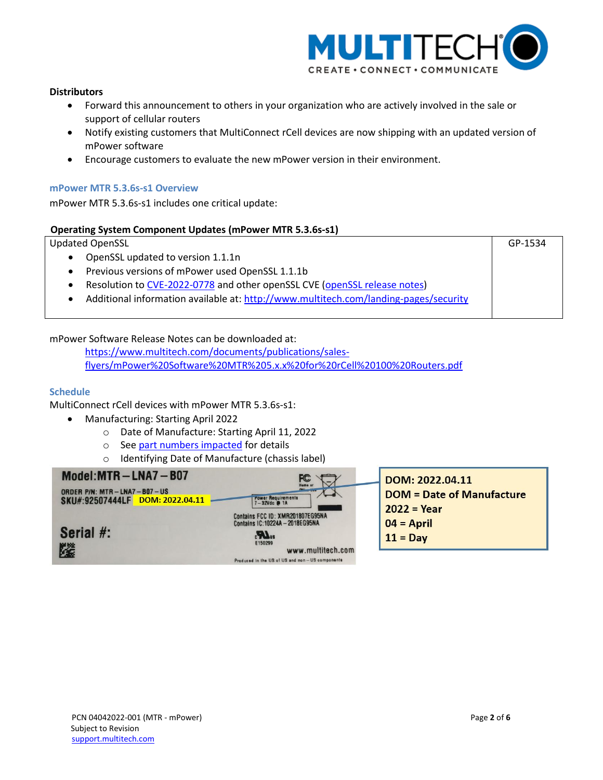

### **Distributors**

- Forward this announcement to others in your organization who are actively involved in the sale or support of cellular routers
- Notify existing customers that MultiConnect rCell devices are now shipping with an updated version of mPower software
- Encourage customers to evaluate the new mPower version in their environment.

### <span id="page-1-1"></span>**mPower MTR 5.3.6s-s1 Overview**

mPower MTR 5.3.6s-s1 includes one critical update:

### **Operating System Component Updates (mPower MTR 5.3.6s-s1)**

Updated OpenSSL

- OpenSSL updated to version 1.1.1n
- Previous versions of mPower used OpenSSL 1.1.1b
- Resolution to [CVE-2022-0778](https://nvd.nist.gov/vuln/detail/CVE-2022-0778) and other openSSL CVE [\(openSSL release notes\)](https://www.openssl.org/news/openssl-1.1.1-notes.html)
- Additional information available at:<http://www.multitech.com/landing-pages/security>

### mPower Software Release Notes can be downloaded at:

[https://www.multitech.com/documents/publications/sales](https://www.multitech.com/documents/publications/sales-flyers/mPower%20Software%20MTR%205.x.x%20for%20rCell%20100%20Routers.pdf)[flyers/mPower%20Software%20MTR%205.x.x%20for%20rCell%20100%20Routers.pdf](https://www.multitech.com/documents/publications/sales-flyers/mPower%20Software%20MTR%205.x.x%20for%20rCell%20100%20Routers.pdf)

### <span id="page-1-0"></span>**Schedule**

MultiConnect rCell devices with mPower MTR 5.3.6s-s1:

- Manufacturing: Starting April 2022
	- o Date of Manufacture: Starting April 11, 2022
	- o See part numbers impacted for details
	- o Identifying Date of Manufacture (chassis label)



GP-1534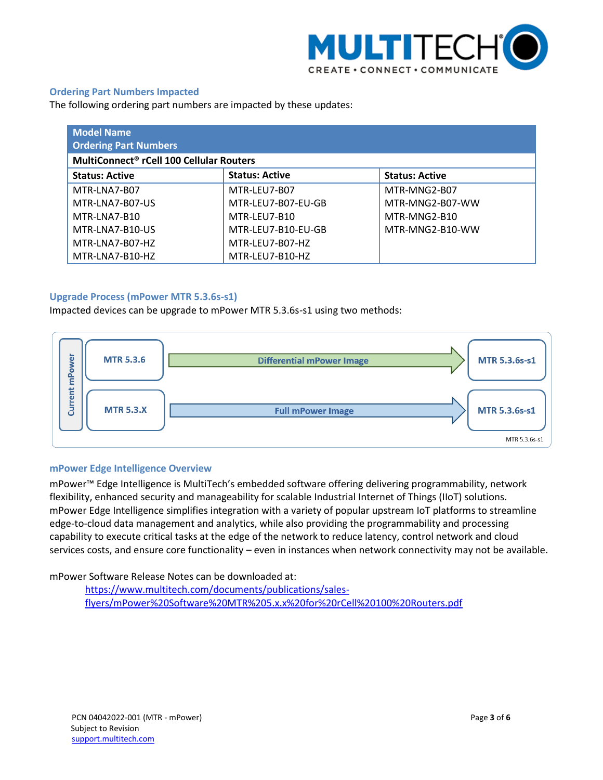

### <span id="page-2-0"></span>**Ordering Part Numbers Impacted**

The following ordering part numbers are impacted by these updates:

| <b>Model Name</b><br><b>Ordering Part Numbers</b>    |                       |                       |  |  |
|------------------------------------------------------|-----------------------|-----------------------|--|--|
| MultiConnect <sup>®</sup> rCell 100 Cellular Routers |                       |                       |  |  |
| <b>Status: Active</b>                                | <b>Status: Active</b> | <b>Status: Active</b> |  |  |
| MTR-LNA7-B07                                         | MTR-LEU7-B07          | MTR-MNG2-B07          |  |  |
| MTR-LNA7-B07-US                                      | MTR-LEU7-B07-EU-GB    | MTR-MNG2-B07-WW       |  |  |
| MTR-LNA7-B10                                         | MTR-LEU7-B10          | MTR-MNG2-B10          |  |  |
| MTR-LNA7-B10-US                                      | MTR-LEU7-B10-EU-GB    | MTR-MNG2-B10-WW       |  |  |
| MTR-LNA7-B07-HZ                                      | MTR-LEU7-B07-HZ       |                       |  |  |
| MTR-LNA7-B10-HZ                                      | MTR-LEU7-B10-HZ       |                       |  |  |

### <span id="page-2-1"></span>**Upgrade Process (mPower MTR 5.3.6s-s1)**

Impacted devices can be upgrade to mPower MTR 5.3.6s-s1 using two methods:



#### <span id="page-2-2"></span>**mPower Edge Intelligence Overview**

mPower™ Edge Intelligence is MultiTech's embedded software offering delivering programmability, network flexibility, enhanced security and manageability for scalable Industrial Internet of Things (IIoT) solutions. mPower Edge Intelligence simplifies integration with a variety of popular upstream IoT platforms to streamline edge-to-cloud data management and analytics, while also providing the programmability and processing capability to execute critical tasks at the edge of the network to reduce latency, control network and cloud services costs, and ensure core functionality – even in instances when network connectivity may not be available.

<span id="page-2-3"></span>mPower Software Release Notes can be downloaded at:

https://www.multitech.com/documents/publications/salesflyers/mPower%20Software%20MTR%205.x.x%20for%20rCell%20100%20Routers.pdf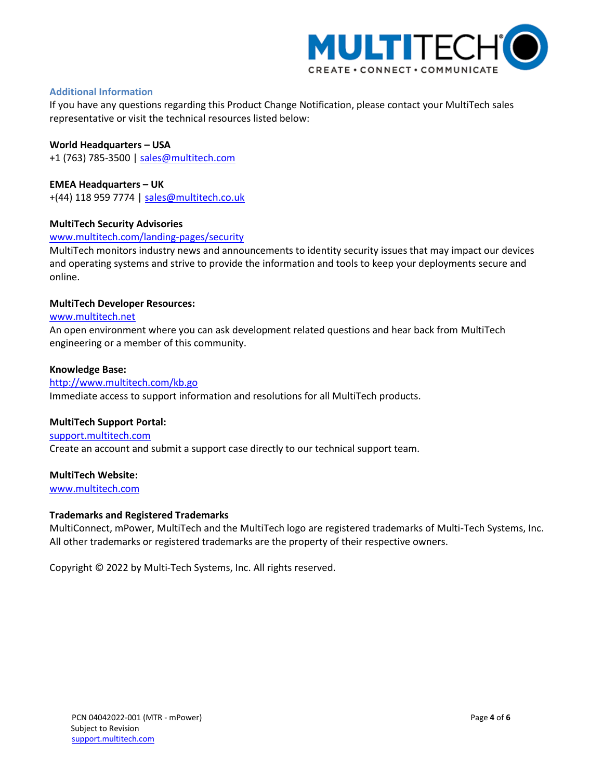

### **Additional Information**

If you have any questions regarding this Product Change Notification, please contact your MultiTech sales representative or visit the technical resources listed below:

### **World Headquarters – USA**

+1 (763) 785-3500 | [sales@multitech.com](mailto:sales@multitech.com)

### **EMEA Headquarters – UK**

+(44) 118 959 7774 | [sales@multitech.co.uk](mailto:sales@multitech.co.uk)

### **MultiTech Security Advisories**

### [www.multitech.com/landing-pages/security](http://www.multitech.com/landing-pages/security)

MultiTech monitors industry news and announcements to identity security issues that may impact our devices and operating systems and strive to provide the information and tools to keep your deployments secure and online.

### **MultiTech Developer Resources:**

### [www.multitech.net](http://www.multitech.net/)

An open environment where you can ask development related questions and hear back from MultiTech engineering or a member of this community.

### **Knowledge Base:**

### <http://www.multitech.com/kb.go>

Immediate access to support information and resolutions for all MultiTech products.

### **MultiTech Support Portal:**

[support.multitech.com](https://support.multitech.com/) Create an account and submit a support case directly to our technical support team.

### **MultiTech Website:**

[www.multitech.com](http://www.multitech.com/)

### **Trademarks and Registered Trademarks**

MultiConnect, mPower, MultiTech and the MultiTech logo are registered trademarks of Multi-Tech Systems, Inc. All other trademarks or registered trademarks are the property of their respective owners.

Copyright © 2022 by Multi-Tech Systems, Inc. All rights reserved.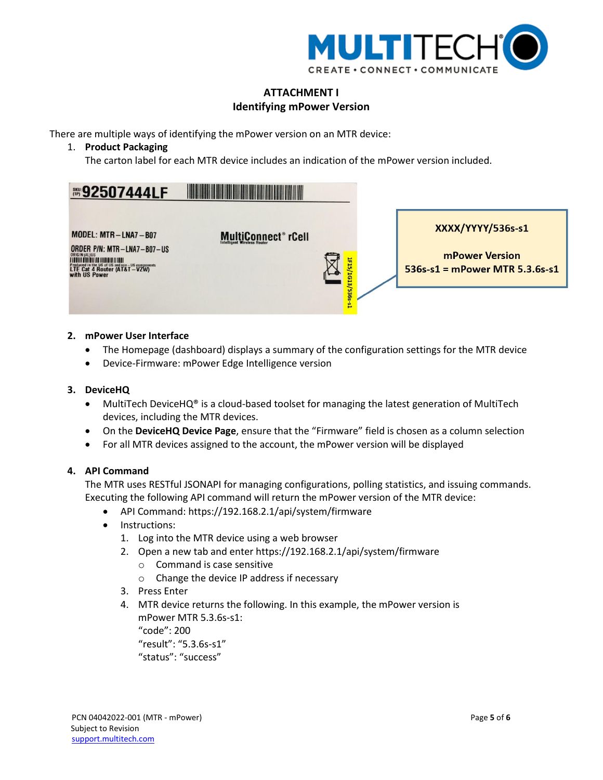

## **ATTACHMENT I Identifying mPower Version**

There are multiple ways of identifying the mPower version on an MTR device:

1. **Product Packaging**

The carton label for each MTR device includes an indication of the mPower version included.



### **2. mPower User Interface**

- The Homepage (dashboard) displays a summary of the configuration settings for the MTR device
- Device-Firmware: mPower Edge Intelligence version

### **3. DeviceHQ**

- MultiTech DeviceHQ<sup>®</sup> is a cloud-based toolset for managing the latest generation of MultiTech devices, including the MTR devices.
- On the **DeviceHQ Device Page**, ensure that the "Firmware" field is chosen as a column selection
- For all MTR devices assigned to the account, the mPower version will be displayed

### **4. API Command**

The MTR uses RESTful JSONAPI for managing configurations, polling statistics, and issuing commands. Executing the following API command will return the mPower version of the MTR device:

- API Command: https://192.168.2.1/api/system/firmware
- Instructions:
	- 1. Log into the MTR device using a web browser
	- 2. Open a new tab and enter https://192.168.2.1/api/system/firmware
		- o Command is case sensitive
		- o Change the device IP address if necessary
	- 3. Press Enter
	- 4. MTR device returns the following. In this example, the mPower version is mPower MTR 5.3.6s-s1: "code": 200

"result": "5.3.6s-s1"

"status": "success"